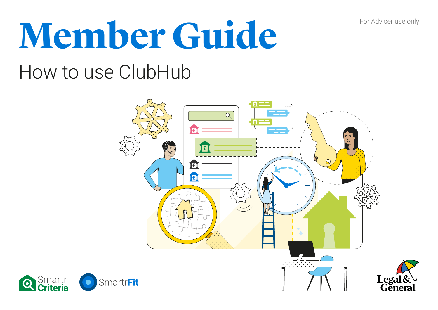# **Member Guide**

### How to use ClubHub



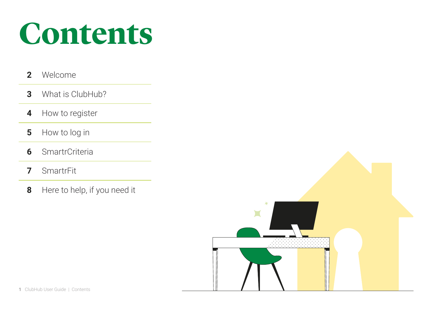### **Contents**

- [Welcome](#page-2-0)
- [What is ClubHub?](#page-3-0)
- [How to register](#page-4-0)
- [How to log in](#page-5-0)
- [SmartrCriteria](#page-6-0)
- [SmartrFit](#page-7-0)
- Here [to help, if you need it](#page-8-0)

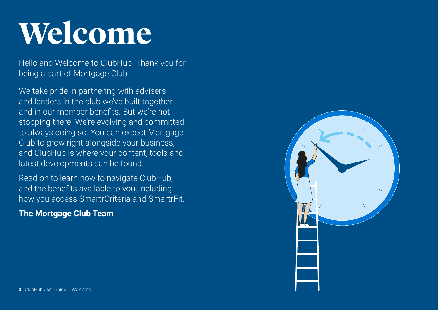## <span id="page-2-0"></span>**Welcome**

Hello and Welcome to ClubHub! Thank you for being a part of Mortgage Club.

We take pride in partnering with advisers and lenders in the club we've built together, and in our member benefits. But we're not stopping there. We're evolving and committed to always doing so. You can expect Mortgage Club to grow right alongside your business, and ClubHub is where your content, tools and latest developments can be found.

Read on to learn how to navigate ClubHub, and the benefits available to you, including how you access SmartrCriteria and SmartrFit.

**The Mortgage Club Team**

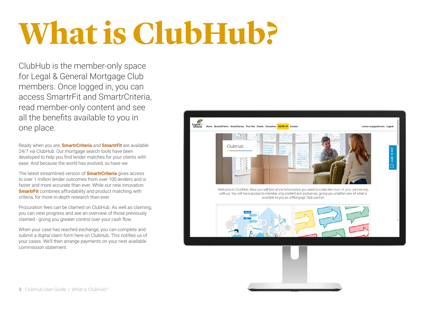## <span id="page-3-0"></span>**What is ClubHub?**

ClubHub is the member-only space for Legal & General Mortgage Club members. Once logged in, you can access SmartrFit and SmartrCriteria, read member-only content and see all the benefits available to you in one place.

Ready when you are, **SmartrCriteria** and **SmartrFit** are available 24/7 via ClubHub. Our mortgage search tools have been developed to help you find lender matches for your clients with ease. And because the world has evolved, so have we.

The latest streamlined version of **SmartrCriteria** gives access to over 1 million lender outcomes from over 100 lenders and is faster and more accurate than ever. While our new innovation **SmartrFit** combines affordability and product matching with criteria, for more in-depth research than ever.

Procuration fees can be claimed on ClubHub. As well as claiming, you can view progress and see an overview of those previously claimed - giving you greater control over your cash flow.

When your case has reached exchange, you can complete and submit a digital claim form here on ClubHub. This notifies us of your cases. We'll then arrange payments on your next available commission statement.

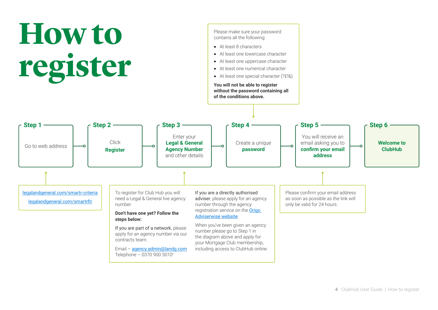<span id="page-4-0"></span>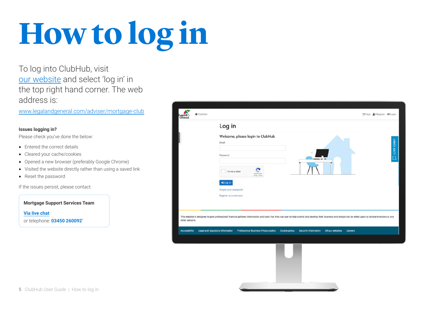# <span id="page-5-0"></span>**How to log in**

To log into ClubHub, visit [our website](https://www.legalandgeneral.com/adviser/mortgage-club/) and select 'log in' in the top right hand corner. The web address is:

www.legalandgeneral.com/adviser/mortgage-club

### **Issues logging in?**

Please check you've done the below:

- Entered the correct details
- Cleared your cache/cookies
- Opened a new browser (preferably Google Chrome)
- Visited the website directly rather than using a saved link
- Reset the password

If the issues persist, please contact:

**Mortgage Support Services Team**

**[Via live chat](https://www.legalandgeneral.com/adviser/mortgage-club/contact-us/)** or telephone: **03450 260092**\*

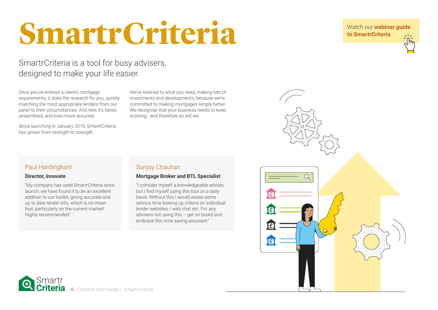### <span id="page-6-0"></span>**SmartrCriteria**

SmartrCriteria is a tool for busy advisers, designed to make your life easier.

Once you've entered a client's mortgage requirements, it does the research for you, quickly matching the most appropriate lenders from our panel to their circumstances. And now it's faster, streamlined, and even more accurate.

Since launching in January 2019, SmartrCriteria has grown from strength to strength.

We've listened to what you need, making lots of investments and developments, because we're committed to making mortgages simply better. We recognise that your business needs to keep evolving - and therefore so will we.

### Paul Hardingham

### **Director,** *Innovate*

"My company has used SmartrCriteria since launch, we have found it to be an excellent addition to our toolkit, giving accurate and up to date lender info, which is no mean feat, particularly on the current market! Highly recommended."

### Sunjay Chauhan

### **Mortgage Broker and BTL Specialist**

"I consider myself a knowledgeable adviser, but I find myself using this tool on a daily basis. Without this I would waste some serious time looking up criteria on individual lender websites / web chat etc. For any advisers not using this – get on board and embrace this time saving assistant."



Watch our **[webinar guide](https://www.brighttalk.com/webcast/12313/398270?utm_campaign=channel-feed&utm_source=brighttalk-portal&utm_medium=web)** 

**[to SmartrCriteria](https://www.brighttalk.com/webcast/12313/398270?utm_campaign=channel-feed&utm_source=brighttalk-portal&utm_medium=web)**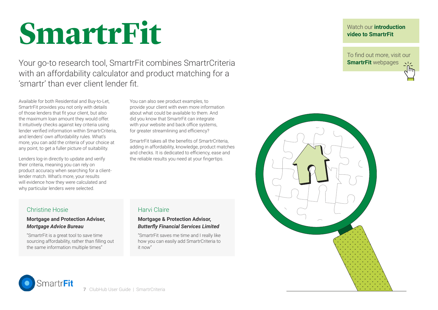### <span id="page-7-0"></span>**SmartrFit**

Your go-to research tool, SmartrFit combines SmartrCriteria with an affordability calculator and product matching for a 'smartr' than ever client lender fit.

Available for both Residential and Buy-to-Let, SmartrFit provides you not only with details of those lenders that fit your client, but also the maximum loan amount they would offer. It intuitively checks against key criteria using lender verified information within SmartrCriteria, and lenders' own affordability rules. What's more, you can add the criteria of your choice at any point, to get a fuller picture of suitability.

Lenders log-in directly to update and verify their criteria, meaning you can rely on product accuracy when searching for a clientlender match. What's more, your results will evidence how they were calculated and why particular lenders were selected.

You can also see product examples, to provide your client with even more information about what could be available to them. And did you know that SmartrFit can integrate with your website and back office systems, for greater streamlining and efficiency?

SmartrFit takes all the benefits of SmartrCriteria, adding in affordability, knowledge, product matches and checks. It is dedicated to efficiency, ease and the reliable results you need at your fingertips.

### Christine Hosie

### **Mortgage and Protection Adviser,**  *Mortgage Advice Bureau*

"SmartrFit is a great tool to save time sourcing affordability, rather than filling out the same information multiple times"

### Harvi Claire

### **Mortgage & Protection Advisor,**  *Butterfly Financial Services Limited*

"SmartrFit saves me time and I really like how you can easily add SmartrCriteria to it now"



[To find out more, visit our](http://legalandgeneral.com/smartrfit)  **SmartrFit** [webpages](http://legalandgeneral.com/smartrfit)